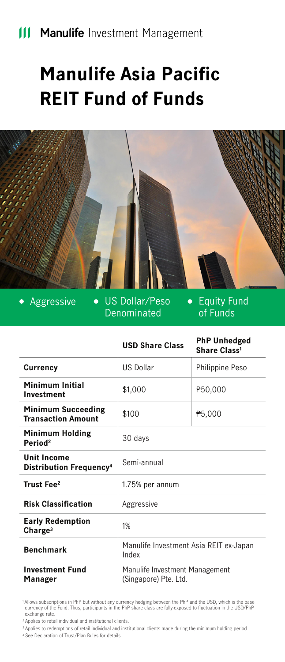# **Manulife Asia Pacific REIT Fund of Funds**



 $\bullet$ 

Aggressive . US Dollar/Peso Denominated

Equity Fund  $\bullet$ of Funds

|                                                           | <b>USD Share Class</b>                                  | <b>PhP Unhedged</b><br>Share Class <sup>1</sup> |
|-----------------------------------------------------------|---------------------------------------------------------|-------------------------------------------------|
| Currency                                                  | US Dollar                                               | Philippine Peso                                 |
| Minimum Initial<br>Investment                             | \$1,000                                                 | ₱50,000                                         |
| <b>Minimum Succeeding</b><br><b>Transaction Amount</b>    | \$100                                                   | P <sub>5</sub> ,000                             |
| <b>Minimum Holding</b><br>Period <sup>2</sup>             | 30 days                                                 |                                                 |
| <b>Unit Income</b><br>Distribution Frequency <sup>4</sup> | Semi-annual                                             |                                                 |
| Trust Fee <sup>2</sup>                                    | 1.75% per annum                                         |                                                 |
| <b>Risk Classification</b>                                | Aggressive                                              |                                                 |
| <b>Early Redemption</b><br>Change <sup>3</sup>            | 1%                                                      |                                                 |
| <b>Benchmark</b>                                          | Manulife Investment Asia REIT ex-Japan<br>Index         |                                                 |
| <b>Investment Fund</b><br>Manager                         | Manulife Investment Management<br>(Singapore) Pte. Ltd. |                                                 |

 1 Allows subscriptions in PhP but without any currency hedging between the PhP and the USD, which is the base currency of the Fund. Thus, participants in the PhP share class are fully-exposed to fluctuation in the USD/PhP exchange rate.

2 Applies to retail individual and institutional clients.

3 Applies to redemptions of retail individual and institutional clients made during the minimum holding period.

4 See Declaration of Trust/Plan Rules for details.